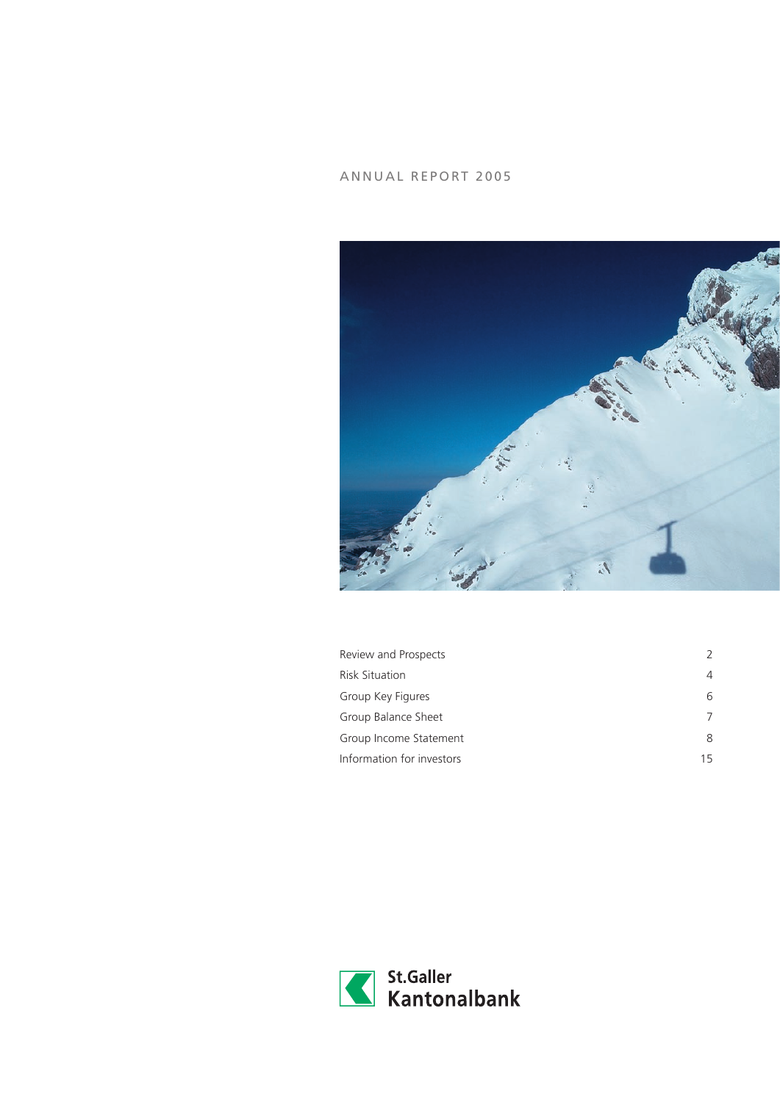# ANNUAL REPORT 2005



| Review and Prospects      | $\mathcal{L}$ |
|---------------------------|---------------|
| <b>Risk Situation</b>     | 4             |
| Group Key Figures         | 6             |
| Group Balance Sheet       |               |
| Group Income Statement    | 8             |
| Information for investors | 15            |

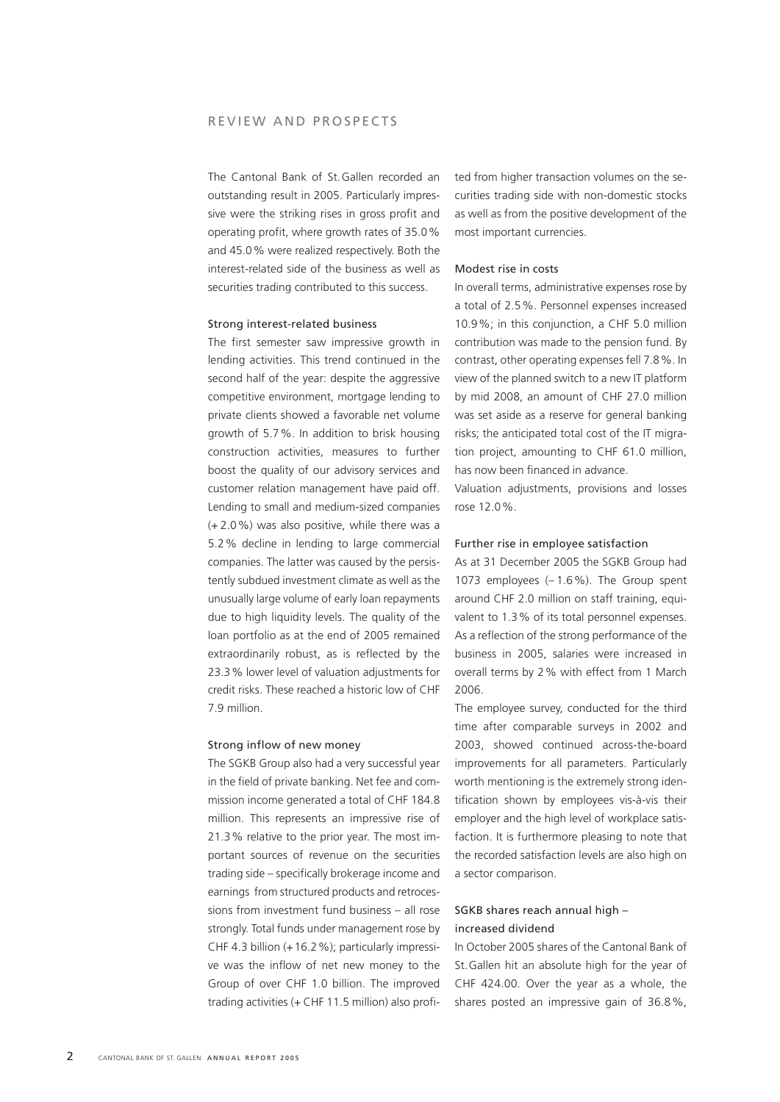The Cantonal Bank of St.Gallen recorded an outstanding result in 2005. Particularly impressive were the striking rises in gross profit and operating profit, where growth rates of 35.0% and 45.0% were realized respectively. Both the interest-related side of the business as well as securities trading contributed to this success.

#### Strong interest-related business

The first semester saw impressive growth in lending activities. This trend continued in the second half of the year: despite the aggressive competitive environment, mortgage lending to private clients showed a favorable net volume growth of 5.7%. In addition to brisk housing construction activities, measures to further boost the quality of our advisory services and customer relation management have paid off. Lending to small and medium-sized companies (+ 2.0%) was also positive, while there was a 5.2% decline in lending to large commercial companies. The latter was caused by the persistently subdued investment climate as well as the unusually large volume of early loan repayments due to high liquidity levels. The quality of the loan portfolio as at the end of 2005 remained extraordinarily robust, as is reflected by the 23.3% lower level of valuation adjustments for credit risks. These reached a historic low of CHF 7.9 million.

#### Strong inflow of new money

The SGKB Group also had a very successful year in the field of private banking. Net fee and commission income generated a total of CHF 184.8 million. This represents an impressive rise of 21.3% relative to the prior year. The most important sources of revenue on the securities trading side – specifically brokerage income and earnings from structured products and retrocessions from investment fund business – all rose strongly. Total funds under management rose by CHF 4.3 billion (+16.2%); particularly impressive was the inflow of net new money to the Group of over CHF 1.0 billion. The improved trading activities (+ CHF 11.5 million) also profited from higher transaction volumes on the securities trading side with non-domestic stocks as well as from the positive development of the most important currencies.

#### Modest rise in costs

In overall terms, administrative expenses rose by a total of 2.5%. Personnel expenses increased 10.9%; in this conjunction, a CHF 5.0 million contribution was made to the pension fund. By contrast, other operating expenses fell 7.8%. In view of the planned switch to a new IT platform by mid 2008, an amount of CHF 27.0 million was set aside as a reserve for general banking risks; the anticipated total cost of the IT migration project, amounting to CHF 61.0 million, has now been financed in advance.

Valuation adjustments, provisions and losses rose 12.0%.

## Further rise in employee satisfaction

As at 31 December 2005 the SGKB Group had 1073 employees (– 1.6%). The Group spent around CHF 2.0 million on staff training, equivalent to 1.3% of its total personnel expenses. As a reflection of the strong performance of the business in 2005, salaries were increased in overall terms by 2% with effect from 1 March 2006.

The employee survey, conducted for the third time after comparable surveys in 2002 and 2003, showed continued across-the-board improvements for all parameters. Particularly worth mentioning is the extremely strong identification shown by employees vis-à-vis their employer and the high level of workplace satisfaction. It is furthermore pleasing to note that the recorded satisfaction levels are also high on a sector comparison.

## SGKB shares reach annual high – increased dividend

In October 2005 shares of the Cantonal Bank of St.Gallen hit an absolute high for the year of CHF 424.00. Over the year as a whole, the shares posted an impressive gain of 36.8%,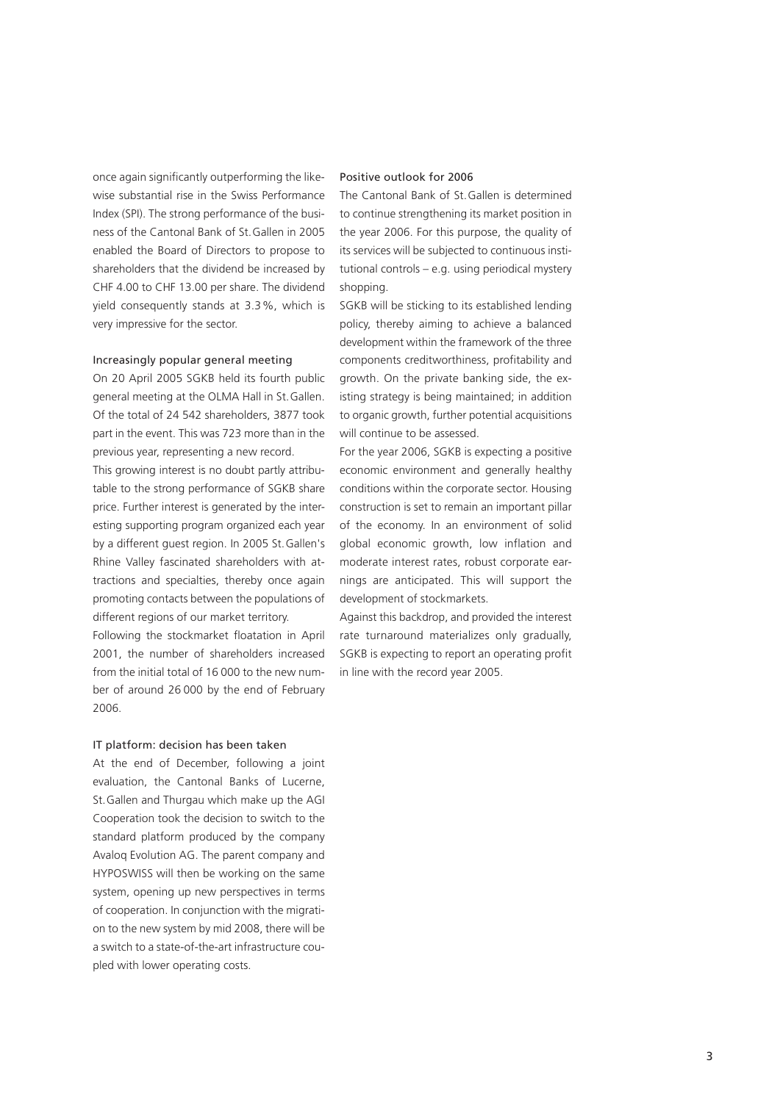once again significantly outperforming the likewise substantial rise in the Swiss Performance Index (SPI). The strong performance of the business of the Cantonal Bank of St.Gallen in 2005 enabled the Board of Directors to propose to shareholders that the dividend be increased by CHF 4.00 to CHF 13.00 per share. The dividend yield consequently stands at 3.3%, which is very impressive for the sector.

#### Increasingly popular general meeting

On 20 April 2005 SGKB held its fourth public general meeting at the OLMA Hall in St.Gallen. Of the total of 24 542 shareholders, 3877 took part in the event. This was 723 more than in the previous year, representing a new record. This growing interest is no doubt partly attribu-

table to the strong performance of SGKB share price. Further interest is generated by the interesting supporting program organized each year by a different guest region. In 2005 St.Gallen's Rhine Valley fascinated shareholders with attractions and specialties, thereby once again promoting contacts between the populations of different regions of our market territory.

Following the stockmarket floatation in April 2001, the number of shareholders increased from the initial total of 16 000 to the new number of around 26 000 by the end of February 2006.

#### IT platform: decision has been taken

At the end of December, following a joint evaluation, the Cantonal Banks of Lucerne, St.Gallen and Thurgau which make up the AGI Cooperation took the decision to switch to the standard platform produced by the company Avaloq Evolution AG. The parent company and HYPOSWISS will then be working on the same system, opening up new perspectives in terms of cooperation. In conjunction with the migration to the new system by mid 2008, there will be a switch to a state-of-the-art infrastructure coupled with lower operating costs.

## Positive outlook for 2006

The Cantonal Bank of St.Gallen is determined to continue strengthening its market position in the year 2006. For this purpose, the quality of its services will be subjected to continuous institutional controls – e.g. using periodical mystery shopping.

SGKB will be sticking to its established lending policy, thereby aiming to achieve a balanced development within the framework of the three components creditworthiness, profitability and growth. On the private banking side, the existing strategy is being maintained; in addition to organic growth, further potential acquisitions will continue to be assessed.

For the year 2006, SGKB is expecting a positive economic environment and generally healthy conditions within the corporate sector. Housing construction is set to remain an important pillar of the economy. In an environment of solid global economic growth, low inflation and moderate interest rates, robust corporate earnings are anticipated. This will support the development of stockmarkets.

Against this backdrop, and provided the interest rate turnaround materializes only gradually, SGKB is expecting to report an operating profit in line with the record year 2005.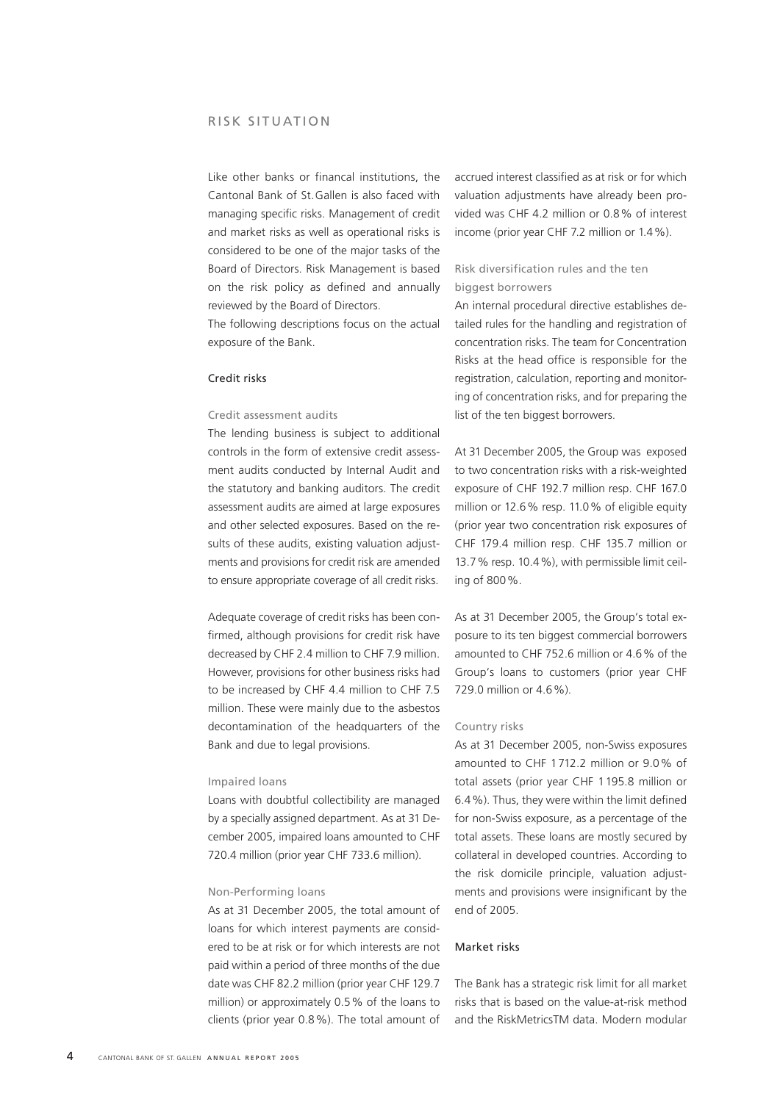Like other banks or financal institutions, the Cantonal Bank of St.Gallen is also faced with managing specific risks. Management of credit and market risks as well as operational risks is considered to be one of the major tasks of the Board of Directors. Risk Management is based on the risk policy as defined and annually reviewed by the Board of Directors.

The following descriptions focus on the actual exposure of the Bank.

## Credit risks

## Credit assessment audits

The lending business is subject to additional controls in the form of extensive credit assessment audits conducted by Internal Audit and the statutory and banking auditors. The credit assessment audits are aimed at large exposures and other selected exposures. Based on the results of these audits, existing valuation adjustments and provisions for credit risk are amended to ensure appropriate coverage of all credit risks.

Adequate coverage of credit risks has been confirmed, although provisions for credit risk have decreased by CHF 2.4 million to CHF 7.9 million. However, provisions for other business risks had to be increased by CHF 4.4 million to CHF 7.5 million. These were mainly due to the asbestos decontamination of the headquarters of the Bank and due to legal provisions.

## Impaired loans

Loans with doubtful collectibility are managed by a specially assigned department. As at 31 December 2005, impaired loans amounted to CHF 720.4 million (prior year CHF 733.6 million).

#### Non-Performing loans

As at 31 December 2005, the total amount of loans for which interest payments are considered to be at risk or for which interests are not paid within a period of three months of the due date was CHF 82.2 million (prior year CHF 129.7 million) or approximately 0.5% of the loans to clients (prior year 0.8%). The total amount of

accrued interest classified as at risk or for which valuation adjustments have already been provided was CHF 4.2 million or 0.8% of interest income (prior year CHF 7.2 million or 1.4%).

## Risk diversification rules and the ten biggest borrowers

An internal procedural directive establishes detailed rules for the handling and registration of concentration risks. The team for Concentration Risks at the head office is responsible for the registration, calculation, reporting and monitoring of concentration risks, and for preparing the list of the ten biggest borrowers.

At 31 December 2005, the Group was exposed to two concentration risks with a risk-weighted exposure of CHF 192.7 million resp. CHF 167.0 million or 12.6% resp. 11.0% of eligible equity (prior year two concentration risk exposures of CHF 179.4 million resp. CHF 135.7 million or 13.7% resp. 10.4%), with permissible limit ceiling of 800%.

As at 31 December 2005, the Group's total exposure to its ten biggest commercial borrowers amounted to CHF 752.6 million or 4.6% of the Group's loans to customers (prior year CHF 729.0 million or 4.6%).

## Country risks

As at 31 December 2005, non-Swiss exposures amounted to CHF 1712.2 million or 9.0% of total assets (prior year CHF 1195.8 million or 6.4%). Thus, they were within the limit defined for non-Swiss exposure, as a percentage of the total assets. These loans are mostly secured by collateral in developed countries. According to the risk domicile principle, valuation adjustments and provisions were insignificant by the end of 2005.

#### Market risks

The Bank has a strategic risk limit for all market risks that is based on the value-at-risk method and the RiskMetricsTM data. Modern modular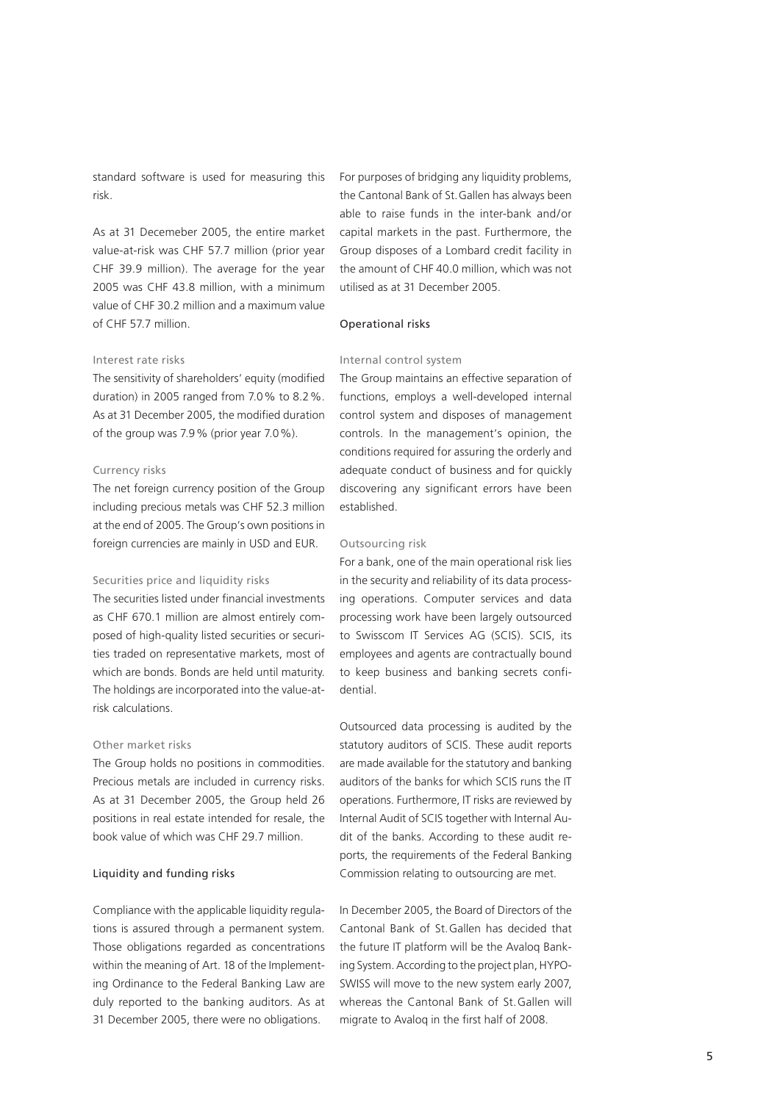standard software is used for measuring this risk.

As at 31 Decemeber 2005, the entire market value-at-risk was CHF 57.7 million (prior year CHF 39.9 million). The average for the year 2005 was CHF 43.8 million, with a minimum value of CHF 30.2 million and a maximum value of CHF 57.7 million.

## Interest rate risks

The sensitivity of shareholders' equity (modified duration) in 2005 ranged from 7.0% to 8.2%. As at 31 December 2005, the modified duration of the group was 7.9% (prior year 7.0%).

## Currency risks

The net foreign currency position of the Group including precious metals was CHF 52.3 million at the end of 2005. The Group's own positions in foreign currencies are mainly in USD and EUR.

## Securities price and liquidity risks

The securities listed under financial investments as CHF 670.1 million are almost entirely composed of high-quality listed securities or securities traded on representative markets, most of which are bonds. Bonds are held until maturity. The holdings are incorporated into the value-atrisk calculations.

#### Other market risks

The Group holds no positions in commodities. Precious metals are included in currency risks. As at 31 December 2005, the Group held 26 positions in real estate intended for resale, the book value of which was CHF 29.7 million.

## Liquidity and funding risks

Compliance with the applicable liquidity regulations is assured through a permanent system. Those obligations regarded as concentrations within the meaning of Art. 18 of the Implementing Ordinance to the Federal Banking Law are duly reported to the banking auditors. As at 31 December 2005, there were no obligations.

For purposes of bridging any liquidity problems, the Cantonal Bank of St.Gallen has always been able to raise funds in the inter-bank and/or capital markets in the past. Furthermore, the Group disposes of a Lombard credit facility in the amount of CHF 40.0 million, which was not utilised as at 31 December 2005.

## Operational risks

## Internal control system

The Group maintains an effective separation of functions, employs a well-developed internal control system and disposes of management controls. In the management's opinion, the conditions required for assuring the orderly and adequate conduct of business and for quickly discovering any significant errors have been established.

## Outsourcing risk

For a bank, one of the main operational risk lies in the security and reliability of its data processing operations. Computer services and data processing work have been largely outsourced to Swisscom IT Services AG (SCIS). SCIS, its employees and agents are contractually bound to keep business and banking secrets confidential.

Outsourced data processing is audited by the statutory auditors of SCIS. These audit reports are made available for the statutory and banking auditors of the banks for which SCIS runs the IT operations. Furthermore, IT risks are reviewed by Internal Audit of SCIS together with Internal Audit of the banks. According to these audit reports, the requirements of the Federal Banking Commission relating to outsourcing are met.

In December 2005, the Board of Directors of the Cantonal Bank of St.Gallen has decided that the future IT platform will be the Avaloq Banking System. According to the project plan, HYPO-SWISS will move to the new system early 2007, whereas the Cantonal Bank of St.Gallen will migrate to Avaloq in the first half of 2008.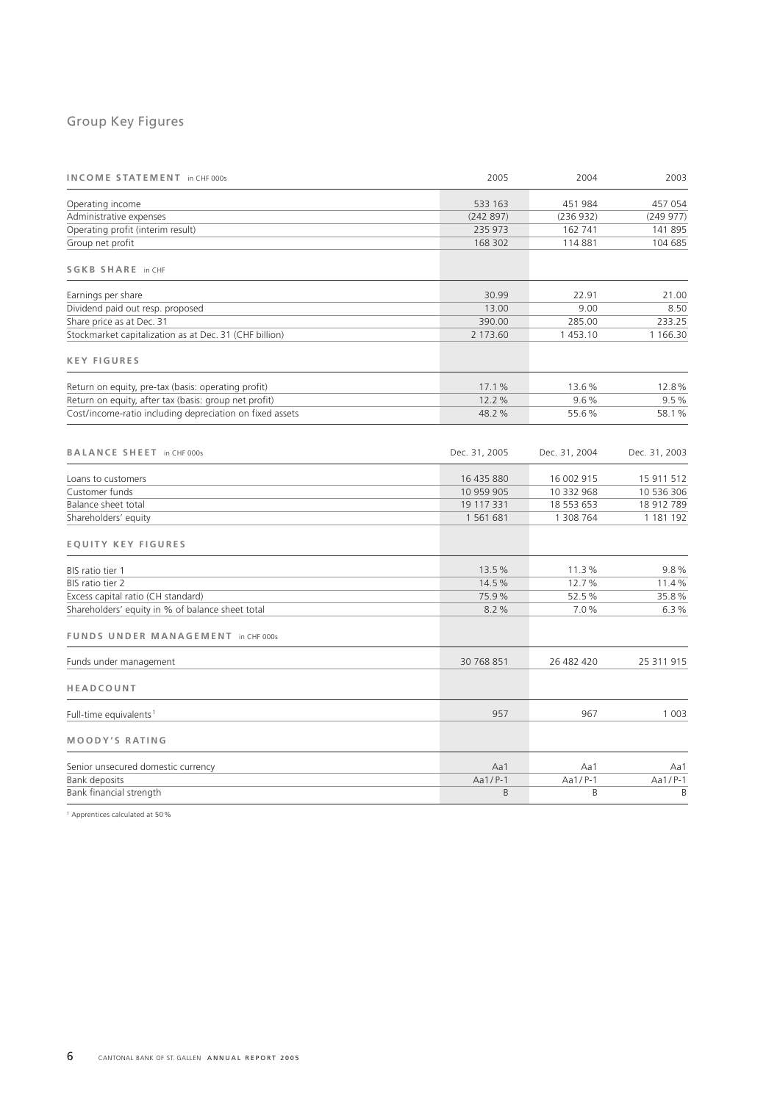# Group Key Figures

| INCOME STATEMENT in CHF 000s                             | 2005          | 2004          | 2003          |
|----------------------------------------------------------|---------------|---------------|---------------|
| Operating income                                         | 533 163       | 451 984       | 457 054       |
| Administrative expenses                                  | (242897)      | (236932)      | (249977)      |
| Operating profit (interim result)                        | 235 973       | 162 741       | 141 895       |
| Group net profit                                         | 168 302       | 114881        | 104 685       |
| <b>SGKB SHARE in CHF</b>                                 |               |               |               |
| Earnings per share                                       | 30.99         | 22.91         | 21.00         |
| Dividend paid out resp. proposed                         | 13.00         | 9.00          | 8.50          |
| Share price as at Dec. 31                                | 390.00        | 285.00        | 233.25        |
| Stockmarket capitalization as at Dec. 31 (CHF billion)   | 2 173.60      | 1453.10       | 1 166.30      |
| <b>KEY FIGURES</b>                                       |               |               |               |
| Return on equity, pre-tax (basis: operating profit)      | 17.1%         | 13.6%         | 12.8%         |
| Return on equity, after tax (basis: group net profit)    | 12.2%         | 9.6%          | 9.5%          |
| Cost/income-ratio including depreciation on fixed assets | 48.2%         | 55.6%         | 58.1%         |
| BALANCE SHEET in CHF 000s                                | Dec. 31, 2005 | Dec. 31, 2004 | Dec. 31, 2003 |
| Loans to customers                                       | 16 435 880    | 16 002 915    | 15 911 512    |
| Customer funds                                           | 10 959 905    | 10 332 968    | 10 536 306    |
| Balance sheet total                                      | 19 117 331    | 18 553 653    | 18 912 789    |
| Shareholders' equity                                     | 1561681       | 1 308 764     | 1 181 192     |
| <b>EQUITY KEY FIGURES</b>                                |               |               |               |
| BIS ratio tier 1                                         | 13.5%         | 11.3%         | 9.8%          |
| BIS ratio tier 2                                         | 14.5%         | 12.7%         | 11.4%         |
| Excess capital ratio (CH standard)                       | 75.9%         | 52.5%         | 35.8%         |
| Shareholders' equity in % of balance sheet total         | 8.2%          | 7.0%          | 6.3%          |
| FUNDS UNDER MANAGEMENT in CHF 000s                       |               |               |               |
| Funds under management                                   | 30 768 851    | 26 482 420    | 25 311 915    |
| HEADCOUNT                                                |               |               |               |
| Full-time equivalents <sup>1</sup>                       | 957           | 967           | 1 0 0 3       |
| <b>MOODY'S RATING</b>                                    |               |               |               |
| Senior unsecured domestic currency                       | Aa1           | Aa1           | Aa1           |
| Bank deposits                                            | $Aa1/P-1$     | Aa1/P-1       | Aa1/P-1       |
| Bank financial strength                                  | $\mathsf B$   | B             | B             |
|                                                          |               |               |               |

<sup>1</sup> Apprentices calculated at 50%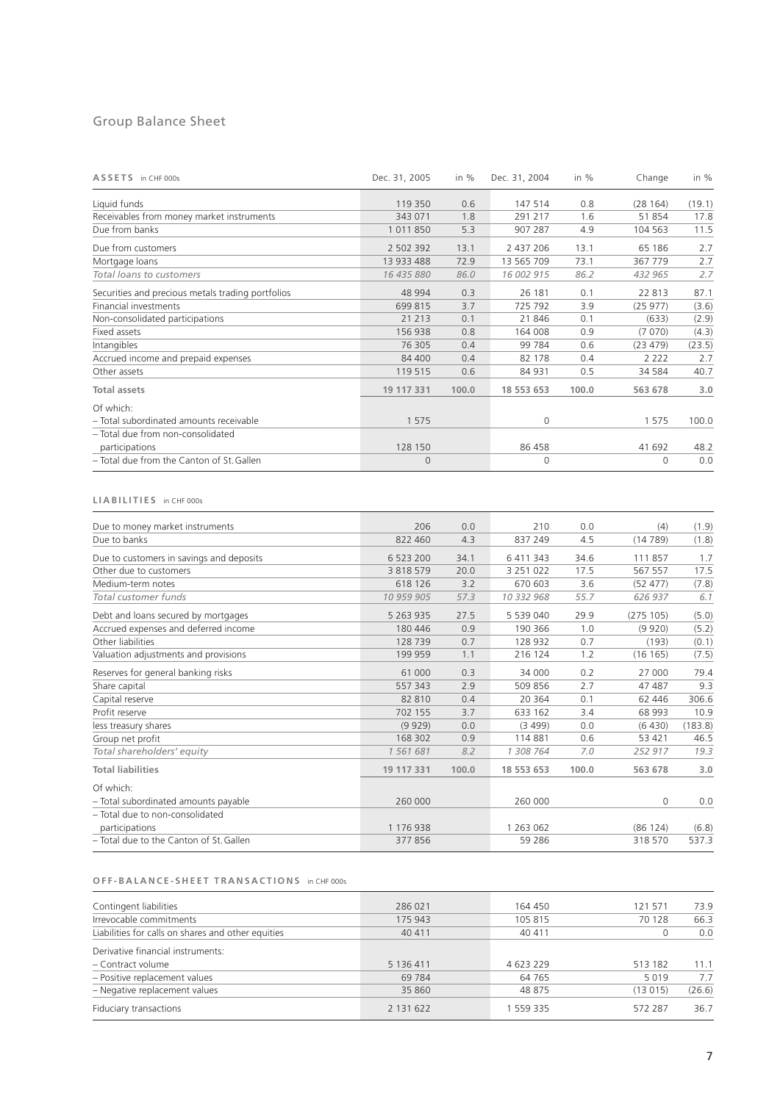# Group Balance Sheet

| ASSETS in CHF 000s                                | Dec. 31, 2005 | in %  | Dec. 31, 2004 | in $%$ | Change   | in $%$ |
|---------------------------------------------------|---------------|-------|---------------|--------|----------|--------|
| Liquid funds                                      | 119 350       | 0.6   | 147 514       | 0.8    | (28164)  | (19.1) |
| Receivables from money market instruments         | 343 071       | 1.8   | 291 217       | 1.6    | 51854    | 17.8   |
| Due from banks                                    | 1011850       | 5.3   | 907 287       | 4.9    | 104 563  | 11.5   |
| Due from customers                                | 2 502 392     | 13.1  | 2 437 206     | 13.1   | 65 186   | 2.7    |
| Mortgage loans                                    | 13 933 488    | 72.9  | 13 565 709    | 73.1   | 367 779  | 2.7    |
| Total loans to customers                          | 16 435 880    | 86.0  | 16 002 915    | 86.2   | 432 965  | 2.7    |
| Securities and precious metals trading portfolios | 48 994        | 0.3   | 26 181        | 0.1    | 22 813   | 87.1   |
| <b>Financial investments</b>                      | 699 815       | 3.7   | 725 792       | 3.9    | (25977)  | (3.6)  |
| Non-consolidated participations                   | 21 213        | 0.1   | 21846         | 0.1    | (633)    | (2.9)  |
| Fixed assets                                      | 156 938       | 0.8   | 164 008       | 0.9    | (7070)   | (4.3)  |
| Intangibles                                       | 76 305        | 0.4   | 99 784        | 0.6    | (23 479) | (23.5) |
| Accrued income and prepaid expenses               | 84 400        | 0.4   | 82 178        | 0.4    | 2 2 2 2  | 2.7    |
| Other assets                                      | 119 515       | 0.6   | 84 931        | 0.5    | 34 5 84  | 40.7   |
| <b>Total assets</b>                               | 19 117 331    | 100.0 | 18 553 653    | 100.0  | 563 678  | 3.0    |
| Of which:                                         |               |       |               |        |          |        |
| - Total subordinated amounts receivable           | 1 5 7 5       |       | 0             |        | 1575     | 100.0  |
| - Total due from non-consolidated                 |               |       |               |        |          |        |
| participations                                    | 128 150       |       | 86 458        |        | 41 692   | 48.2   |
| - Total due from the Canton of St. Gallen         | $\mathbf{0}$  |       | $\Omega$      |        | $\Omega$ | 0.0    |

## **L I A B I L I T I E S** in CHF 000s

| Due to money market instruments          | 206           | 0.0   | 210           | 0.0   | (4)          | (1.9)   |
|------------------------------------------|---------------|-------|---------------|-------|--------------|---------|
| Due to banks                             | 822 460       | 4.3   | 837 249       | 4.5   | (14789)      | (1.8)   |
| Due to customers in savings and deposits | 6 523 200     | 34.1  | 6 411 343     | 34.6  | 111857       | 1.7     |
| Other due to customers                   | 3 8 1 8 5 7 9 | 20.0  | 3 2 5 1 0 2 2 | 17.5  | 567 557      | 17.5    |
| Medium-term notes                        | 618 126       | 3.2   | 670 603       | 3.6   | (52 477)     | (7.8)   |
| Total customer funds                     | 10 959 905    | 57.3  | 10 332 968    | 55.7  | 626 937      | 6.1     |
| Debt and loans secured by mortgages      | 5 263 935     | 27.5  | 5 539 040     | 29.9  | (275 105)    | (5.0)   |
| Accrued expenses and deferred income     | 180 446       | 0.9   | 190 366       | 1.0   | (9920)       | (5.2)   |
| Other liabilities                        | 128 739       | 0.7   | 128 932       | 0.7   | (193)        | (0.1)   |
| Valuation adjustments and provisions     | 199 959       | 1.1   | 216 124       | 1.2   | (16165)      | (7.5)   |
| Reserves for general banking risks       | 61 000        | 0.3   | 34 000        | 0.2   | 27 000       | 79.4    |
| Share capital                            | 557 343       | 2.9   | 509 856       | 2.7   | 47 487       | 9.3     |
| Capital reserve                          | 82 810        | 0.4   | 20 364        | 0.1   | 62 446       | 306.6   |
| Profit reserve                           | 702 155       | 3.7   | 633 162       | 3.4   | 68 993       | 10.9    |
| less treasury shares                     | (9929)        | 0.0   | (3499)        | 0.0   | (6430)       | (183.8) |
| Group net profit                         | 168 302       | 0.9   | 114 881       | 0.6   | 53 4 21      | 46.5    |
| Total shareholders' equity               | 1 561 681     | 8.2   | 1 308 764     | 7.0   | 252 917      | 19.3    |
| <b>Total liabilities</b>                 | 19 117 331    | 100.0 | 18 553 653    | 100.0 | 563 678      | 3.0     |
| Of which:                                |               |       |               |       |              |         |
| - Total subordinated amounts payable     | 260 000       |       | 260 000       |       | $\mathbf{0}$ | 0.0     |
| - Total due to non-consolidated          |               |       |               |       |              |         |
| participations                           | 1 176 938     |       | 1 263 062     |       | (86 124)     | (6.8)   |
| - Total due to the Canton of St. Gallen  | 377856        |       | 59 286        |       | 318 570      | 537.3   |

## O F F - B A L A N C E - S H E E T T R A N S A C T I O N S in CHF 000s

| Contingent liabilities                             | 286 021   | 164 450   | 121 571 | 73.9   |
|----------------------------------------------------|-----------|-----------|---------|--------|
| Irrevocable commitments                            | 175 943   | 105 815   | 70 128  | 66.3   |
| Liabilities for calls on shares and other equities | 40 411    | 40 411    |         | 0.0    |
| Derivative financial instruments:                  |           |           |         |        |
| - Contract volume                                  | 5 136 411 | 4 623 229 | 513 182 | 11.1   |
| - Positive replacement values                      | 69 784    | 64 7 65   | 5019    | 7.7    |
| - Negative replacement values                      | 35 860    | 48 875    | (13015) | (26.6) |
| Fiduciary transactions                             | 2 131 622 | 1 559 335 | 572 287 | 36.7   |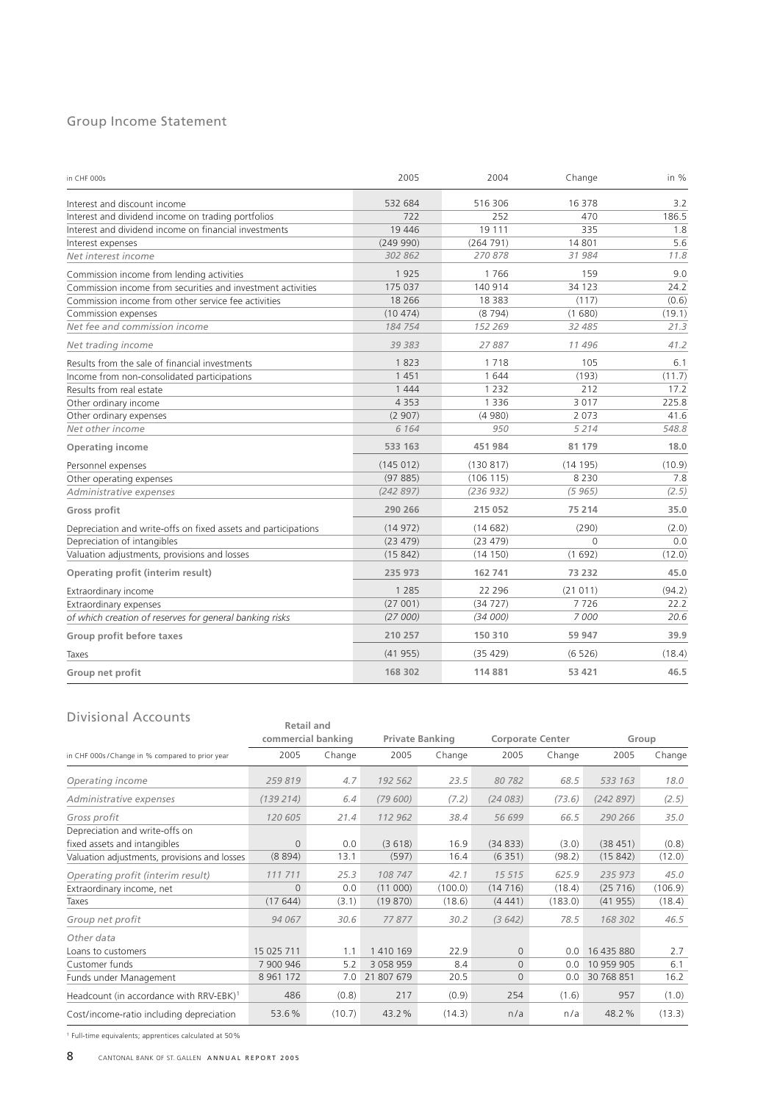# Group Income Statement

| in CHF 000s                                                    | 2005     | 2004      | Change   | in %   |
|----------------------------------------------------------------|----------|-----------|----------|--------|
| Interest and discount income                                   | 532 684  | 516 306   | 16 378   | 3.2    |
| Interest and dividend income on trading portfolios             | 722      | 252       | 470      | 186.5  |
| Interest and dividend income on financial investments          | 19446    | 19 111    | 335      | 1.8    |
| Interest expenses                                              | (249990) | (264791)  | 14 801   | 5.6    |
| Net interest income                                            | 302 862  | 270878    | 31 984   | 11.8   |
| Commission income from lending activities                      | 1925     | 1766      | 159      | 9.0    |
| Commission income from securities and investment activities    | 175 037  | 140 914   | 34 1 23  | 24.2   |
| Commission income from other service fee activities            | 18 2 66  | 18 3 8 3  | (117)    | (0.6)  |
| Commission expenses                                            | (10474)  | (8794)    | (1680)   | (19.1) |
| Net fee and commission income                                  | 184 754  | 152 269   | 32 485   | 21.3   |
| Net trading income                                             | 39 383   | 27887     | 11496    | 41.2   |
| Results from the sale of financial investments                 | 1823     | 1718      | 105      | 6.1    |
| Income from non-consolidated participations                    | 1451     | 1644      | (193)    | (11.7) |
| Results from real estate                                       | 1444     | 1 2 3 2   | 212      | 17.2   |
| Other ordinary income                                          | 4 3 5 3  | 1 3 3 6   | 3017     | 225.8  |
| Other ordinary expenses                                        | (2907)   | (4980)    | 2 0 7 3  | 41.6   |
| Net other income                                               | 6 1 6 4  | 950       | 5214     | 548.8  |
| <b>Operating income</b>                                        | 533 163  | 451 984   | 81 179   | 18.0   |
| Personnel expenses                                             | (145012) | (130817)  | (14195)  | (10.9) |
| Other operating expenses                                       | (97885)  | (106 115) | 8 2 3 0  | 7.8    |
| Administrative expenses                                        | (242897) | (236932)  | (5965)   | (2.5)  |
| <b>Gross profit</b>                                            | 290 266  | 215 052   | 75 214   | 35.0   |
| Depreciation and write-offs on fixed assets and participations | (14972)  | (14682)   | (290)    | (2.0)  |
| Depreciation of intangibles                                    | (23 479) | (23 479)  | $\Omega$ | 0.0    |
| Valuation adjustments, provisions and losses                   | (15842)  | (14150)   | (1692)   | (12.0) |
| Operating profit (interim result)                              | 235 973  | 162 741   | 73 232   | 45.0   |
| Extraordinary income                                           | 1 2 8 5  | 22 2 9 6  | (21011)  | (94.2) |
| Extraordinary expenses                                         | (27001)  | (34727)   | 7726     | 22.2   |
| of which creation of reserves for general banking risks        | (27000)  | (34000)   | 7000     | 20.6   |
| Group profit before taxes                                      | 210 257  | 150 310   | 59 947   | 39.9   |
| Taxes                                                          | (41955)  | (35 429)  | (6526)   | (18.4) |
| Group net profit                                               | 168 302  | 114881    | 53 4 21  | 46.5   |

## Divisional Accounts

| Divisional Accounts                                 |               | <b>Retail and</b>  |               |                        |          |                         |            |         |  |
|-----------------------------------------------------|---------------|--------------------|---------------|------------------------|----------|-------------------------|------------|---------|--|
|                                                     |               | commercial banking |               | <b>Private Banking</b> |          | <b>Corporate Center</b> |            | Group   |  |
| in CHF 000s/Change in % compared to prior year      | 2005          | Change             | 2005          | Change                 | 2005     | Change                  | 2005       | Change  |  |
| Operating income                                    | 259819        | 4.7                | 192 562       | 23.5                   | 80 782   | 68.5                    | 533 163    | 18.0    |  |
| Administrative expenses                             | (139 214)     | 6.4                | (79600)       | (7.2)                  | (24083)  | (73.6)                  | (242897)   | (2.5)   |  |
| Gross profit                                        | 120 605       | 21.4               | 112 962       | 38.4                   | 56 699   | 66.5                    | 290 266    | 35.0    |  |
| Depreciation and write-offs on                      |               |                    |               |                        |          |                         |            |         |  |
| fixed assets and intangibles                        | $\Omega$      | 0.0                | (3618)        | 16.9                   | (34833)  | (3.0)                   | (38451)    | (0.8)   |  |
| Valuation adjustments, provisions and losses        | (8894)        | 13.1               | (597)         | 16.4                   | (6351)   | (98.2)                  | (15842)    | (12.0)  |  |
| Operating profit (interim result)                   | 111 711       | 25.3               | 108 747       | 42.1                   | 15 515   | 625.9                   | 235 973    | 45.0    |  |
| Extraordinary income, net                           | $\Omega$      | 0.0                | (11000)       | (100.0)                | (14716)  | (18.4)                  | (25716)    | (106.9) |  |
| Taxes                                               | (17644)       | (3.1)              | (19870)       | (18.6)                 | (4441)   | (183.0)                 | (41955)    | (18.4)  |  |
| Group net profit                                    | 94 067        | 30.6               | 77877         | 30.2                   | (3642)   | 78.5                    | 168 302    | 46.5    |  |
| Other data                                          |               |                    |               |                        |          |                         |            |         |  |
| Loans to customers                                  | 15 025 711    | 1.1                | 1 410 169     | 22.9                   | $\Omega$ | 0.0                     | 16 435 880 | 2.7     |  |
| Customer funds                                      | 7 900 946     | 5.2                | 3 0 5 8 9 5 9 | 8.4                    | $\Omega$ | 0.0                     | 10 959 905 | 6.1     |  |
| Funds under Management                              | 8 9 6 1 1 7 2 | 7.0                | 21 807 679    | 20.5                   | 0        | 0.0                     | 30 768 851 | 16.2    |  |
| Headcount (in accordance with RRV-EBK) <sup>1</sup> | 486           | (0.8)              | 217           | (0.9)                  | 254      | (1.6)                   | 957        | (1.0)   |  |
| Cost/income-ratio including depreciation            | 53.6%         | (10.7)             | 43.2%         | (14.3)                 | n/a      | n/a                     | 48.2%      | (13.3)  |  |

<sup>1</sup> Full-time equivalents; apprentices calculated at 50%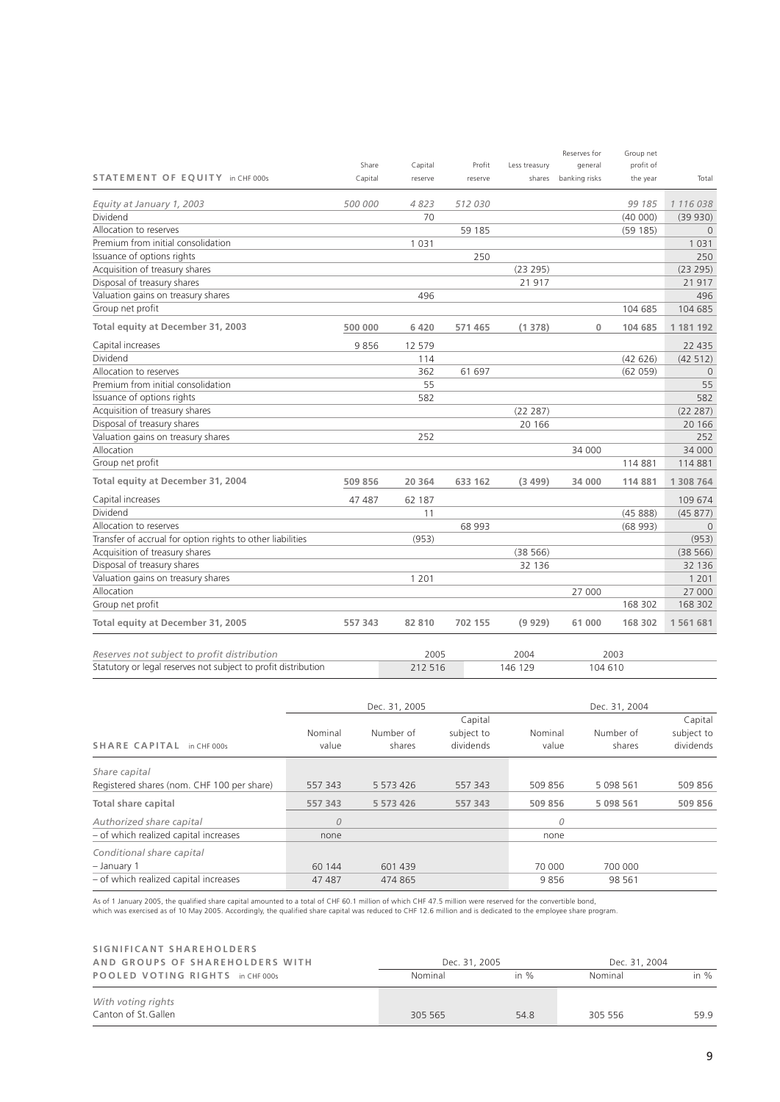|                                                            |         |         |         |               | Reserves for  | Group net |           |
|------------------------------------------------------------|---------|---------|---------|---------------|---------------|-----------|-----------|
|                                                            | Share   | Capital | Profit  | Less treasury | general       | profit of |           |
| STATEMENT OF EQUITY in CHF 000s                            | Capital | reserve | reserve | shares        | banking risks | the year  | Total     |
| Equity at January 1, 2003                                  | 500 000 | 4823    | 512 030 |               |               | 99 185    | 1 116 038 |
| Dividend                                                   |         | 70      |         |               |               | (40000)   | (39930)   |
| Allocation to reserves                                     |         |         | 59 185  |               |               | (59185)   | $\Omega$  |
| Premium from initial consolidation                         |         | 1 0 3 1 |         |               |               |           | 1 0 3 1   |
| Issuance of options rights                                 |         |         | 250     |               |               |           | 250       |
| Acquisition of treasury shares                             |         |         |         | (23 295)      |               |           | (23 295)  |
| Disposal of treasury shares                                |         |         |         | 21917         |               |           | 21 917    |
| Valuation gains on treasury shares                         |         | 496     |         |               |               |           | 496       |
| Group net profit                                           |         |         |         |               |               | 104 685   | 104 685   |
| Total equity at December 31, 2003                          | 500 000 | 6 4 2 0 | 571 465 | (1378)        | $\mathbf 0$   | 104 685   | 1 181 192 |
| Capital increases                                          | 9856    | 12 579  |         |               |               |           | 22 4 35   |
| Dividend                                                   |         | 114     |         |               |               | (42626)   | (42 512)  |
| Allocation to reserves                                     |         | 362     | 61 697  |               |               | (62 059)  | $\Omega$  |
| Premium from initial consolidation                         |         | 55      |         |               |               |           | 55        |
| Issuance of options rights                                 |         | 582     |         |               |               |           | 582       |
| Acquisition of treasury shares                             |         |         |         | (22 287)      |               |           | (22 287)  |
| Disposal of treasury shares                                |         |         |         | 20 16 6       |               |           | 20 16 6   |
| Valuation gains on treasury shares                         |         | 252     |         |               |               |           | 252       |
| Allocation                                                 |         |         |         |               | 34 000        |           | 34 000    |
| Group net profit                                           |         |         |         |               |               | 114 881   | 114 881   |
| Total equity at December 31, 2004                          | 509 856 | 20 364  | 633 162 | (3499)        | 34 000        | 114 881   | 1 308 764 |
| Capital increases                                          | 47 487  | 62 187  |         |               |               |           | 109 674   |
| Dividend                                                   |         | 11      |         |               |               | (4588)    | (45877)   |
| Allocation to reserves                                     |         |         | 68 993  |               |               | (68993)   | $\Omega$  |
| Transfer of accrual for option rights to other liabilities |         | (953)   |         |               |               |           | (953)     |
| Acquisition of treasury shares                             |         |         |         | (38566)       |               |           | (38566)   |
| Disposal of treasury shares                                |         |         |         | 32 136        |               |           | 32 136    |
| Valuation gains on treasury shares                         |         | 1 2 0 1 |         |               |               |           | 1 2 0 1   |
| Allocation                                                 |         |         |         |               | 27 000        |           | 27 000    |
| Group net profit                                           |         |         |         |               |               | 168 302   | 168 302   |
| Total equity at December 31, 2005                          | 557 343 | 82 810  | 702 155 | (9929)        | 61 000        | 168 302   | 1561681   |
| Reserves not subject to profit distribution                |         | 2005    |         | 2004          |               | 2003      |           |

|                                                                | .       | $-11111$ | ----    |
|----------------------------------------------------------------|---------|----------|---------|
| Statutory or legal reserves not subject to profit distribution | 212 516 | 146 129  | 104 610 |

|                                            |                  | Dec. 31, 2005       |                                    |                  | Dec. 31, 2004       |                                    |
|--------------------------------------------|------------------|---------------------|------------------------------------|------------------|---------------------|------------------------------------|
| SHARE CAPITAL in CHF 000s                  | Nominal<br>value | Number of<br>shares | Capital<br>subject to<br>dividends | Nominal<br>value | Number of<br>shares | Capital<br>subject to<br>dividends |
| Share capital                              |                  |                     |                                    |                  |                     |                                    |
| Registered shares (nom. CHF 100 per share) | 557 343          | 5 5 7 3 4 2 6       | 557 343                            | 509 856          | 5 0 9 8 5 6 1       | 509 856                            |
| Total share capital                        | 557 343          | 5 573 426           | 557 343                            | 509 856          | 5 0 9 8 5 6 1       | 509 856                            |
| Authorized share capital                   | $\overline{0}$   |                     |                                    | 0                |                     |                                    |
| - of which realized capital increases      | none             |                     |                                    | none             |                     |                                    |
| Conditional share capital                  |                  |                     |                                    |                  |                     |                                    |
| $-$ January 1                              | 60 144           | 601 439             |                                    | 70 000           | 700 000             |                                    |
| - of which realized capital increases      | 47 487           | 474 865             |                                    | 9856             | 98 561              |                                    |

As of 1 January 2005, the qualified share capital amounted to a total of CHF 60.1 million of which CHF 47.5 million were reserved for the convertible bond,<br>which was exercised as of 10 May 2005. Accordingly, the qualified

| SIGNIFICANT SHAREHOLDERS                   |               |         |               |        |
|--------------------------------------------|---------------|---------|---------------|--------|
| AND GROUPS OF SHAREHOLDERS WITH            | Dec. 31, 2005 |         | Dec. 31, 2004 |        |
| POOLED VOTING RIGHTS in CHF 000s           | Nominal       | in $\%$ | Nominal       | in $%$ |
| With voting rights<br>Canton of St. Gallen | 305 565       | 54.8    | 305 556       | 59.9   |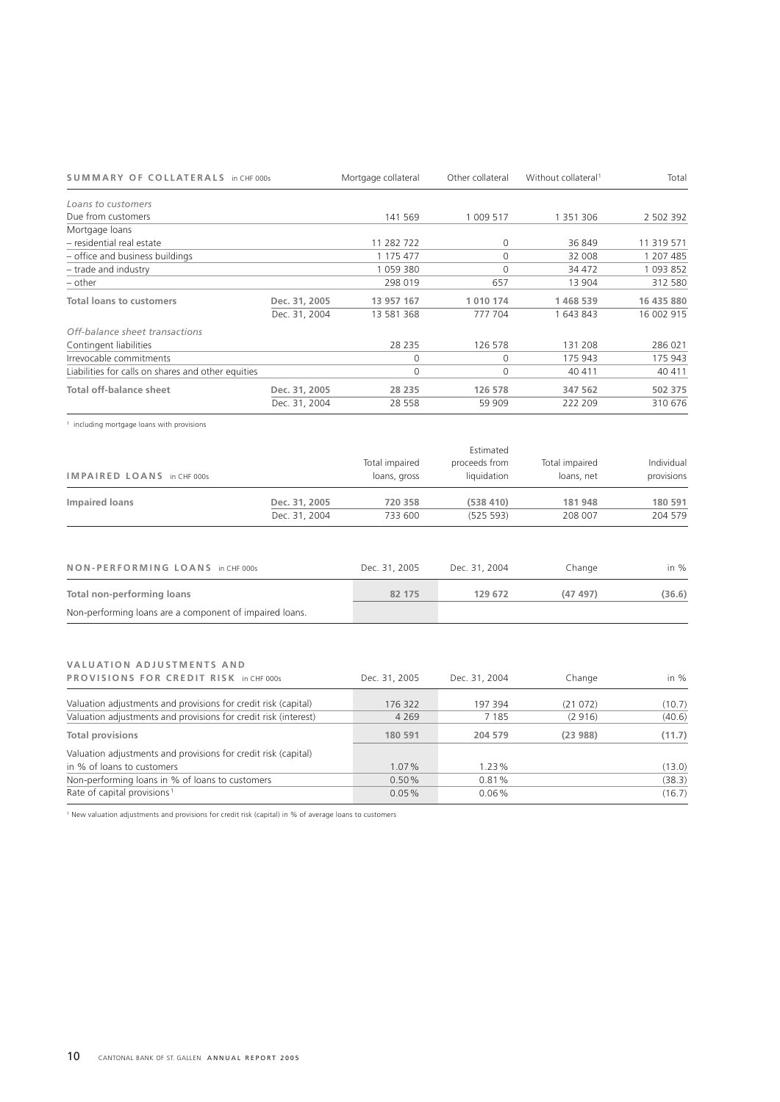| <b>SUMMARY OF COLLATERALS in CHF 000s</b>          |               | Mortgage collateral | Other collateral | Without collateral <sup>1</sup> | Total      |
|----------------------------------------------------|---------------|---------------------|------------------|---------------------------------|------------|
| Loans to customers                                 |               |                     |                  |                                 |            |
| Due from customers                                 |               | 141 569             | 1 009 517        | 1 351 306                       | 2 502 392  |
| Mortgage loans                                     |               |                     |                  |                                 |            |
| - residential real estate                          |               | 11 282 722          | 0                | 36 849                          | 11 319 571 |
| - office and business buildings                    |               | 1 175 477           | 0                | 32 008                          | 1 207 485  |
| $-$ trade and industry                             |               | 1059380             | $\Omega$         | 34 472                          | 1 093 852  |
| - other                                            |               | 298 019             | 657              | 13 904                          | 312 580    |
| <b>Total loans to customers</b>                    | Dec. 31, 2005 | 13 957 167          | 1010174          | 1468539                         | 16 435 880 |
|                                                    | Dec. 31, 2004 | 13 581 368          | 777 704          | 1 643 843                       | 16 002 915 |
| Off-balance sheet transactions                     |               |                     |                  |                                 |            |
| Contingent liabilities                             |               | 28 2 3 5            | 126 578          | 131 208                         | 286 021    |
| Irrevocable commitments                            |               | 0                   | 0                | 175 943                         | 175 943    |
| Liabilities for calls on shares and other equities |               | 0                   | 0                | 40 411                          | 40 411     |
| <b>Total off-balance sheet</b>                     | Dec. 31, 2005 | 28 235              | 126 578          | 347 562                         | 502 375    |
|                                                    | Dec. 31, 2004 | 28 5 5 8            | 59 909           | 222 209                         | 310 676    |

<sup>1</sup> including mortgage loans with provisions

| IMPAIRED LOANS in CHF 000s |               | Total impaired<br>loans, gross | Estimated<br>proceeds from<br>liquidation | Total impaired<br>loans, net | Individual<br>provisions |
|----------------------------|---------------|--------------------------------|-------------------------------------------|------------------------------|--------------------------|
| Impaired loans             | Dec. 31, 2005 | 720 358                        | (538410)                                  | 181948                       | 180 591                  |
|                            | Dec. 31, 2004 | 733 600                        | (525 593)                                 | 208 007                      | 204 579                  |

| NON-PERFORMING LOANS in CHF 000s                        | Dec. 31, 2005 | Dec. 31, 2004 | Change  | in $%$ |
|---------------------------------------------------------|---------------|---------------|---------|--------|
| Total non-performing loans                              | 82 175        | 129 672       | (47497) | (36.6) |
| Non-performing loans are a component of impaired loans. |               |               |         |        |

# **VALUATION ADJUSTMENTS AND**

| VALUATION ADJUSTMENTS AND                                       |               |               |         |        |
|-----------------------------------------------------------------|---------------|---------------|---------|--------|
| PROVISIONS FOR CREDIT RISK in CHF 000s                          | Dec. 31, 2005 | Dec. 31, 2004 | Change  | in $%$ |
|                                                                 |               |               |         |        |
| Valuation adjustments and provisions for credit risk (capital)  | 176 322       | 197 394       | (21072) | (10.7) |
| Valuation adjustments and provisions for credit risk (interest) | 4 2 6 9       | 7 1 8 5       | (2916)  | (40.6) |
| <b>Total provisions</b>                                         | 180 591       | 204 579       | (23988) | (11.7) |
| Valuation adjustments and provisions for credit risk (capital)  |               |               |         |        |
| in % of loans to customers                                      | 1.07%         | 1.23%         |         | (13.0) |
| Non-performing loans in % of loans to customers                 | 0.50%         | 0.81%         |         | (38.3) |
| Rate of capital provisions <sup>1</sup>                         | 0.05%         | $0.06\%$      |         | (16.7) |

<sup>1</sup> New valuation adjustments and provisions for credit risk (capital) in % of average loans to customers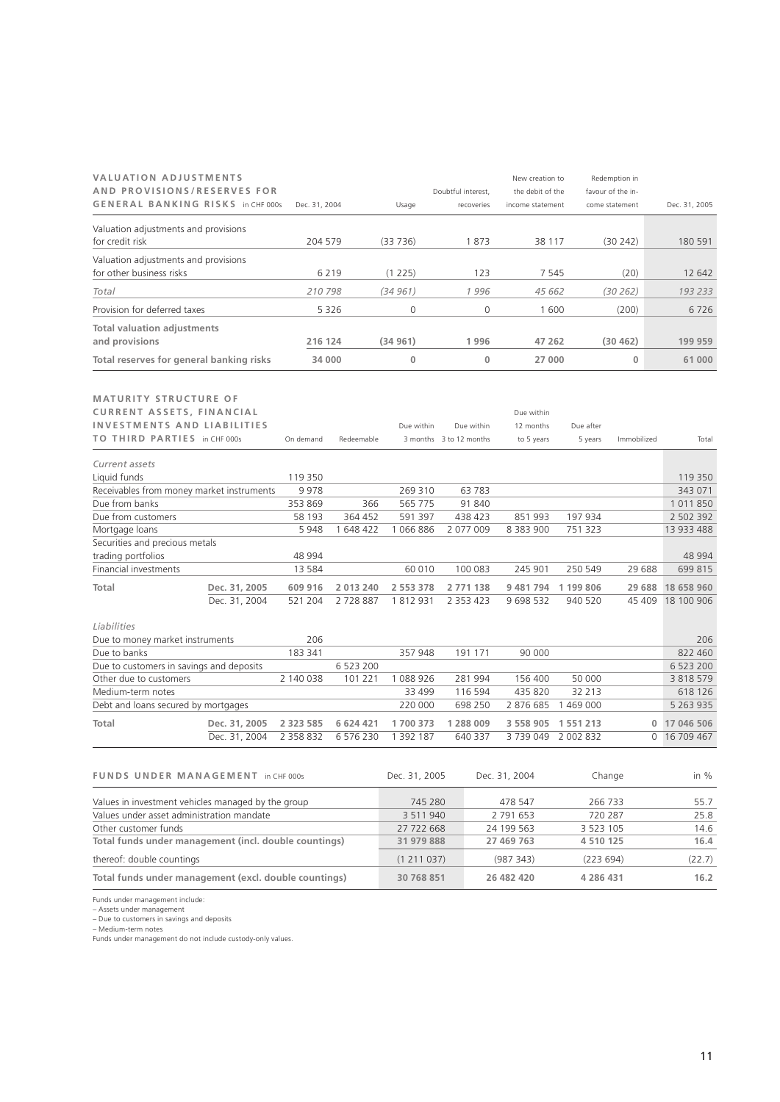| <b>VALUATION ADJUSTMENTS</b><br>AND PROVISIONS/RESERVES FOR      |               |               |            |                         | Doubtful interest, | New creation to<br>the debit of the |               | Redemption in<br>favour of the in- |               |
|------------------------------------------------------------------|---------------|---------------|------------|-------------------------|--------------------|-------------------------------------|---------------|------------------------------------|---------------|
| GENERAL BANKING RISKS in CHF 000s                                |               | Dec. 31, 2004 |            | Usage                   | recoveries         | income statement                    |               | come statement                     | Dec. 31, 2005 |
| Valuation adjustments and provisions                             |               |               |            |                         | 1873               |                                     |               |                                    |               |
| for credit risk                                                  |               | 204 579       |            | (33736)                 |                    | 38 117                              |               | (30242)                            | 180 591       |
| Valuation adjustments and provisions<br>for other business risks |               |               | 6 2 1 9    | (1 225)                 | 123                | 7 5 4 5                             |               | (20)                               | 12 642        |
| Total                                                            |               | 210798        |            | (34961)                 | 1996               | 45 662                              |               | (30 262)                           | 193 233       |
| Provision for deferred taxes                                     |               |               | 5 3 2 6    | 0                       | $\mathbf{0}$       | 1600                                |               |                                    | 6726          |
|                                                                  |               |               |            |                         |                    |                                     |               | (200)                              |               |
| <b>Total valuation adjustments</b><br>and provisions             |               | 216 124       |            | (34961)                 | 1996               | 47 262                              |               | (30462)                            | 199 959       |
|                                                                  |               |               |            |                         |                    |                                     |               |                                    |               |
| Total reserves for general banking risks                         |               | 34 000        |            | $\bf 0$                 | $\mathbf{0}$       | 27 000                              |               | 0                                  | 61 000        |
| <b>MATURITY STRUCTURE OF</b>                                     |               |               |            |                         |                    |                                     |               |                                    |               |
| <b>CURRENT ASSETS, FINANCIAL</b>                                 |               |               |            |                         |                    | Due within                          |               |                                    |               |
| <b>INVESTMENTS AND LIABILITIES</b>                               |               |               |            | Due within              | Due within         | 12 months                           | Due after     |                                    |               |
| TO THIRD PARTIES in CHF 000s                                     |               | On demand     | Redeemable | 3 months 3 to 12 months |                    | to 5 years                          | 5 years       | Immobilized                        | Total         |
| Current assets                                                   |               |               |            |                         |                    |                                     |               |                                    |               |
| Liquid funds                                                     |               | 119 350       |            |                         |                    |                                     |               |                                    | 119 350       |
| Receivables from money market instruments                        |               | 9978          |            | 269 310                 | 63783              |                                     |               |                                    | 343 071       |
| Due from banks                                                   |               | 353 869       | 366        | 565 775                 | 91 840             |                                     |               |                                    | 1 0 1 1 8 5 0 |
| Due from customers                                               |               | 58 193        | 364 452    | 591 397                 | 438 423            | 851 993                             | 197 934       |                                    | 2 502 392     |
| Mortgage loans                                                   |               | 5 9 4 8       | 1 648 422  | 1 066 886               | 2 077 009          | 8 3 8 3 9 0 0                       | 751 323       |                                    | 13 933 488    |
| Securities and precious metals                                   |               |               |            |                         |                    |                                     |               |                                    |               |
| trading portfolios                                               |               | 48 994        |            |                         |                    |                                     |               |                                    | 48 994        |
| Financial investments                                            |               | 13 5 8 4      |            | 60 010                  | 100 083            | 245 901                             | 250 549       | 29 688                             | 699 815       |
| Total                                                            | Dec. 31, 2005 | 609 916       | 2 013 240  | 2 553 378               | 2 771 138          | 9 481 794                           | 1 199 806     | 29 688                             | 18 658 960    |
|                                                                  | Dec. 31, 2004 | 521 204       | 2728887    | 1812931                 | 2 353 423          | 9 698 532                           | 940 520       | 45 409                             | 18 100 906    |
| Liabilities                                                      |               |               |            |                         |                    |                                     |               |                                    |               |
| Due to money market instruments                                  |               | 206           |            |                         |                    |                                     |               |                                    | 206           |
| Due to banks                                                     |               | 183 341       |            | 357 948                 | 191 171            | 90 000                              |               |                                    | 822 460       |
| Due to customers in savings and deposits                         |               |               | 6 523 200  |                         |                    |                                     |               |                                    | 6 523 200     |
| Other due to customers                                           |               | 2 140 038     | 101 221    | 1 088 926               | 281 994            | 156 400                             | 50 000        |                                    | 3 8 18 5 79   |
| Medium-term notes                                                |               |               |            | 33 499                  | 116 594            | 435 820                             | 32 213        |                                    | 618 126       |
| Debt and loans secured by mortgages                              |               |               |            | 220 000                 | 698 250            | 2 876 685                           | 1 469 000     |                                    | 5 2 6 3 9 3 5 |
| Total                                                            | Dec. 31, 2005 | 2 3 2 3 5 8 5 | 6 624 421  | 1700 373                | 1 288 009          | 3 558 905                           | 1 5 5 1 2 1 3 | 0                                  | 17 046 506    |
|                                                                  | Dec. 31, 2004 | 2 358 832     | 6 576 230  | 1 392 187               | 640 337            | 3739049                             | 2 002 832     | 0                                  | 16 709 467    |
|                                                                  |               |               |            |                         |                    |                                     |               |                                    |               |
| FUNDS UNDER MANAGEMENT in CHF 000s                               |               |               |            | Dec. 31, 2005           |                    | Dec. 31, 2004                       |               | Change                             | in %          |
| Values in investment vehicles managed by the group               |               |               |            | 745 280                 |                    | 478 547                             |               | 266 733                            | 55.7          |
| Values under asset administration mandate                        |               |               |            | 3 511 940               |                    | 2 791 653                           |               | 720 287                            | 25.8          |
| Other customer funds                                             |               |               |            | 27 722 668              |                    | 24 199 563                          | 3 523 105     |                                    | 14.6          |
| Total funds under management (incl. double countings)            |               |               |            | 31 979 888              |                    | 27 469 763                          | 4 510 125     |                                    | 16.4          |
| thereof: double countings                                        |               |               |            | (1 211 037)             |                    | (987 343)                           | (223694)      |                                    | (22.7)        |
| Total funds under management (excl. double countings)            |               |               |            | 30 768 851              |                    | 26 482 420                          | 4 286 431     |                                    | 16.2          |

Funds under management include: – Assets under management – Due to customers in savings and deposits – Medium-term notes Funds under management do not include custody-only values.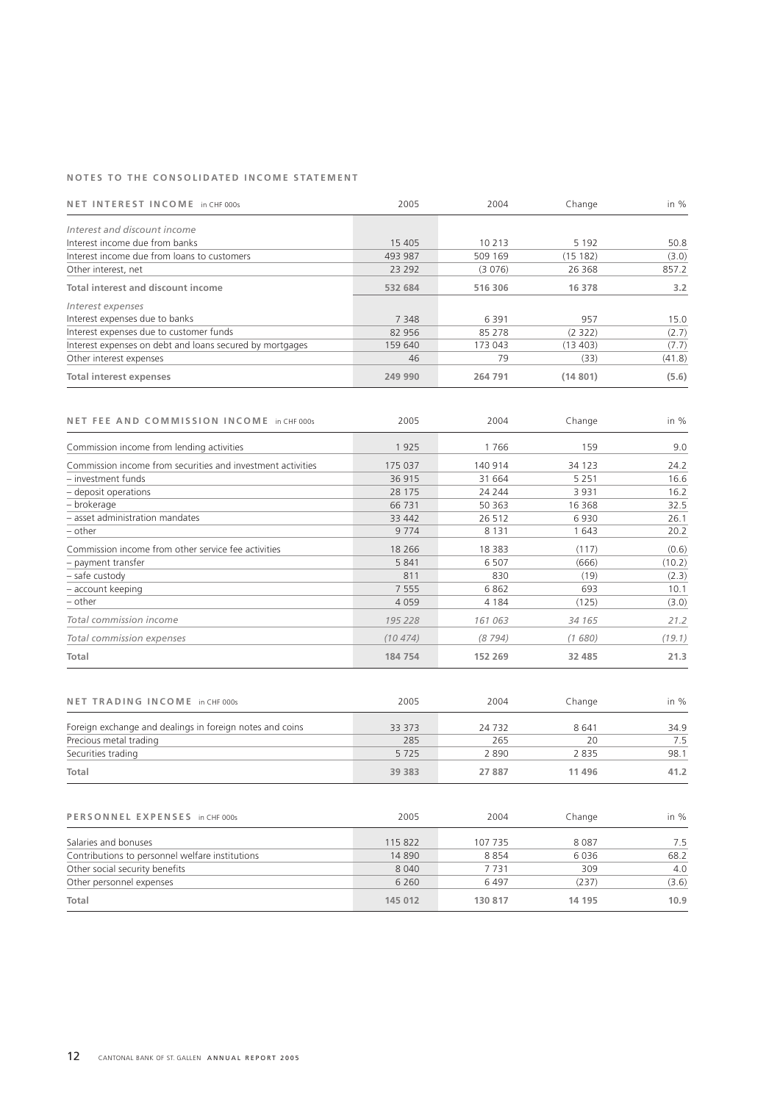## **NOTES TO THE CONSOLIDATED INCOME STATEMENT**

| NET INTEREST INCOME in CHF 000s                          | 2005    | 2004    | Change   | in $%$ |
|----------------------------------------------------------|---------|---------|----------|--------|
| Interest and discount income                             |         |         |          |        |
|                                                          |         |         |          |        |
| Interest income due from banks                           | 15 4 05 | 10 213  | 5 1 9 2  | 50.8   |
| Interest income due from loans to customers              | 493 987 | 509 169 | (15182)  | (3.0)  |
| Other interest, net                                      | 23 29 2 | (3076)  | 26 3 68  | 857.2  |
| Total interest and discount income                       | 532 684 | 516 306 | 16 378   | 3.2    |
| Interest expenses                                        |         |         |          |        |
| Interest expenses due to banks                           | 7 3 4 8 | 6391    | 957      | 15.0   |
| Interest expenses due to customer funds                  | 82 956  | 85 278  | (2 322)  | (2.7)  |
| Interest expenses on debt and loans secured by mortgages | 159 640 | 173 043 | (13 403) | (7.7)  |
| Other interest expenses                                  | 46      | 79      | (33)     | (41.8) |
| Total interest expenses                                  | 249 990 | 264 791 | (14801)  | (5.6)  |
|                                                          |         |         |          |        |

| NET FEE AND COMMISSION INCOME in CHF 000s                   | 2005    | 2004     | Change   | in $%$ |
|-------------------------------------------------------------|---------|----------|----------|--------|
| Commission income from lending activities                   | 1925    | 1766     | 159      | 9.0    |
| Commission income from securities and investment activities | 175 037 | 140 914  | 34 123   | 24.2   |
| - investment funds                                          | 36 915  | 31 664   | 5 2 5 1  | 16.6   |
| - deposit operations                                        | 28 175  | 24 244   | 3931     | 16.2   |
| - brokerage                                                 | 66 7 31 | 50 363   | 16 3 68  | 32.5   |
| - asset administration mandates                             | 33 442  | 26 512   | 6930     | 26.1   |
| – other                                                     | 9 7 7 4 | 8 1 3 1  | 1643     | 20.2   |
| Commission income from other service fee activities         | 18 2 66 | 18 3 8 3 | (117)    | (0.6)  |
| - payment transfer                                          | 5 8 4 1 | 6 5 0 7  | (666)    | (10.2) |
| - safe custody                                              | 811     | 830      | (19)     | (2.3)  |
| - account keeping                                           | 7 5 5 5 | 6862     | 693      | 10.1   |
| - other                                                     | 4059    | 4 1 8 4  | (125)    | (3.0)  |
| Total commission income                                     | 195 228 | 161 063  | 34 1 65  | 21.2   |
| Total commission expenses                                   | (10474) | (8794)   | (1680)   | (19.1) |
| Total                                                       | 184 754 | 152 269  | 32 4 8 5 | 21.3   |

| NET TRADING INCOME in CHF 000s                           | 2005   | 2004    | Change | in $%$ |
|----------------------------------------------------------|--------|---------|--------|--------|
| Foreign exchange and dealings in foreign notes and coins | 33 373 | 24 7 32 | 8641   | 34.9   |
| Precious metal trading                                   | 285    | 265     | 20     | 7.5    |
| Securities trading                                       | 5725   | 2890    | 2835   | 98.1   |
| Total                                                    | 39 383 | 27887   | 11496  | 41.2   |

| PERSONNEL EXPENSES in CHF 000s                  | 2005    | 2004    | Change | in %  |
|-------------------------------------------------|---------|---------|--------|-------|
| Salaries and bonuses                            | 115822  | 107 735 | 8087   | 7.5   |
| Contributions to personnel welfare institutions | 14890   | 8854    | 6036   | 68.2  |
| Other social security benefits                  | 8 0 4 0 | 7 7 3 1 | 309    | 4.0   |
| Other personnel expenses                        | 6 2 6 0 | 6497    | (237)  | (3.6) |
| Total                                           | 145 012 | 130 817 | 14 195 | 10.9  |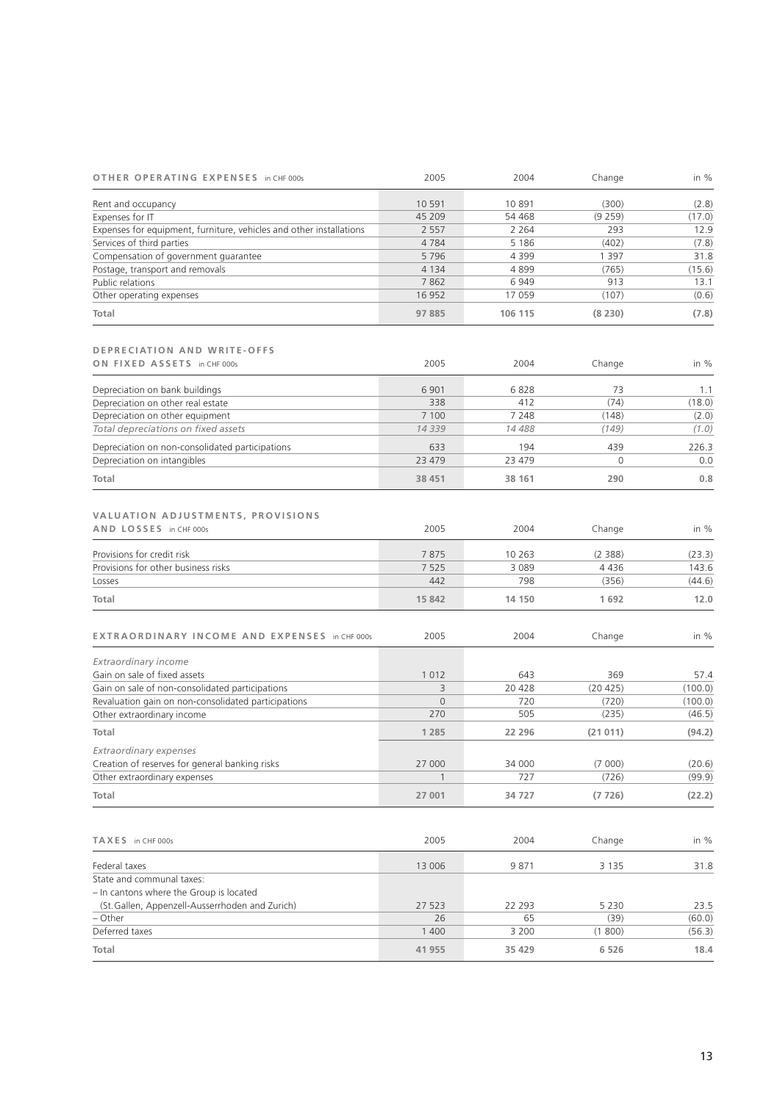| OTHER OPERATING EXPENSES in CHF 000s                                | 2005           | 2004    | Change   | in %         |
|---------------------------------------------------------------------|----------------|---------|----------|--------------|
| Rent and occupancy                                                  | 10 5 91        | 10891   | (300)    | (2.8)        |
| Expenses for IT                                                     | 45 209         | 54 468  | (9 259)  | (17.0)       |
| Expenses for equipment, furniture, vehicles and other installations | 2 5 5 7        | 2 2 6 4 | 293      | 12.9         |
| Services of third parties                                           | 4784           | 5 1 8 6 | (402)    | (7.8)        |
| Compensation of government guarantee                                | 5796           | 4 3 9 9 | 1 3 9 7  | 31.8         |
| Postage, transport and removals                                     | 4 1 3 4        | 4899    | (765)    | (15.6)       |
| Public relations                                                    | 7862           | 6949    | 913      | 13.1         |
| Other operating expenses                                            | 16 9 52        | 17 059  | (107)    | (0.6)        |
| Total                                                               | 97 885         | 106 115 | (8230)   | (7.8)        |
|                                                                     |                |         |          |              |
| <b>DEPRECIATION AND WRITE-OFFS</b>                                  |                |         |          |              |
| ON FIXED ASSETS in CHF 000s                                         | 2005           | 2004    | Change   | in %         |
| Depreciation on bank buildings                                      | 6 9 0 1        | 6828    | 73       | 1.1          |
| Depreciation on other real estate                                   | 338            | 412     | (74)     | (18.0)       |
| Depreciation on other equipment                                     | 7 100          | 7 2 4 8 | (148)    | (2.0)        |
| Total depreciations on fixed assets                                 | 14339          | 14 488  | (149)    | (1.0)        |
|                                                                     | 633            | 194     | 439      |              |
| Depreciation on non-consolidated participations                     | 23 4 7 9       | 23 479  | $\Omega$ | 226.3<br>0.0 |
| Depreciation on intangibles                                         |                |         |          |              |
| Total                                                               | 38 451         | 38 161  | 290      | 0.8          |
|                                                                     |                |         |          |              |
| VALUATION ADJUSTMENTS, PROVISIONS                                   |                |         |          |              |
| AND LOSSES in CHF 000s                                              | 2005           | 2004    | Change   | in %         |
| Provisions for credit risk                                          | 7875           | 10 263  | (2388)   | (23.3)       |
| Provisions for other business risks                                 | 7 5 2 5        | 3 0 8 9 | 4 4 3 6  | 143.6        |
| Losses                                                              | 442            | 798     | (356)    | (44.6)       |
| Total                                                               | 15 842         | 14 150  | 1692     | 12.0         |
|                                                                     |                |         |          |              |
| EXTRAORDINARY INCOME AND EXPENSES in CHF 000s                       | 2005           | 2004    | Change   | in %         |
| Extraordinary income                                                |                |         |          |              |
| Gain on sale of fixed assets                                        | 1012           | 643     | 369      | 57.4         |
| Gain on sale of non-consolidated participations                     | 3              | 20 428  | (20 425) | (100.0)      |
| Revaluation gain on non-consolidated participations                 | $\overline{0}$ | 720     | (720)    | (100.0)      |
| Other extraordinary income                                          | 270            | 505     | (235)    | (46.5)       |
| Total                                                               | 1 2 8 5        | 22 296  | (21011)  | (94.2)       |
| Extraordinary expenses                                              |                |         |          |              |
| Creation of reserves for general banking risks                      | 27 000         | 34 000  | (7000)   | (20.6)       |
| Other extraordinary expenses                                        | $\mathbf{1}$   | 727     | (726)    | (99.9)       |
| Total                                                               | 27 001         | 34 727  | (7726)   | (22.2)       |
|                                                                     |                |         |          |              |
| TAXES in CHF 000s                                                   | 2005           | 2004    | Change   | in $%$       |
|                                                                     |                |         |          |              |
| Federal taxes                                                       | 13 006         | 9871    | 3 1 3 5  | 31.8         |
| State and communal taxes:                                           |                |         |          |              |
| - In cantons where the Group is located                             |                |         |          |              |
| (St. Gallen, Appenzell-Ausserrhoden and Zurich)                     | 27 523         | 22 293  | 5 2 3 0  | 23.5         |
| – Other                                                             | 26             | 65      | (39)     | (60.0)       |
| Deferred taxes                                                      | 1 400          | 3 2 0 0 | (1800)   | (56.3)       |
| Total                                                               | 41 955         | 35 4 29 | 6 5 2 6  | 18.4         |
|                                                                     |                |         |          |              |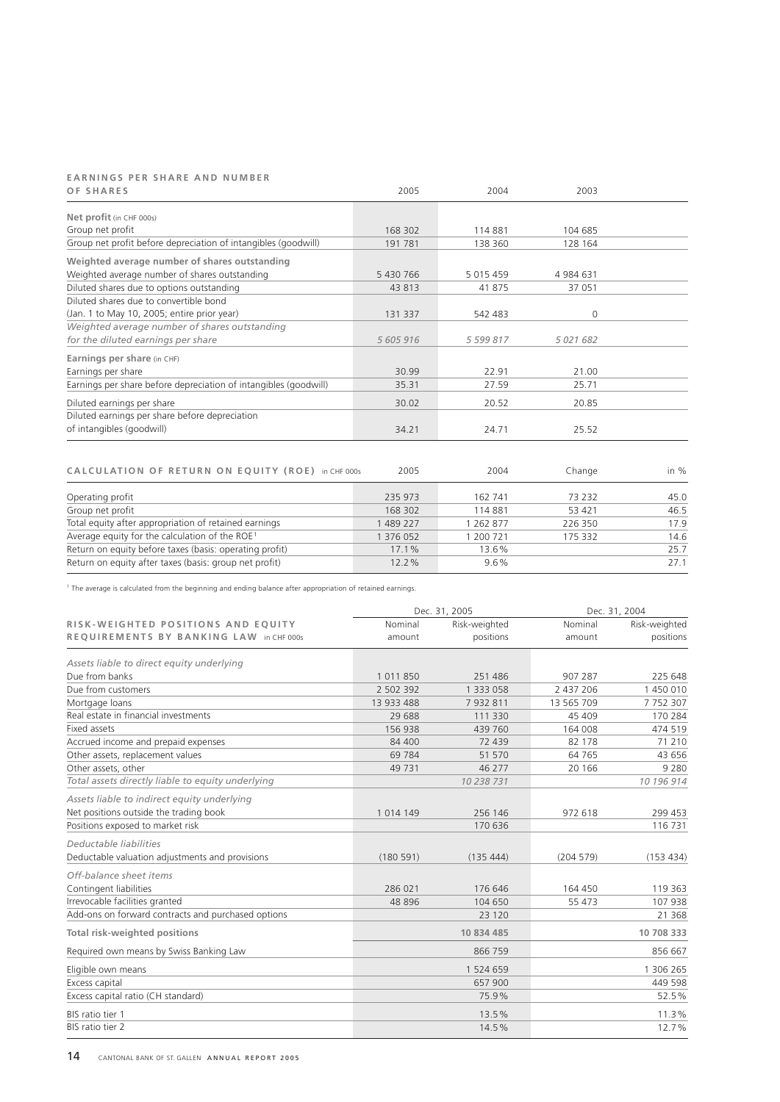# E A R N I N G S P E R S H A R E A N D N U M B E R

| OF SHARES                                                        | 2005      | 2004          | 2003         |  |
|------------------------------------------------------------------|-----------|---------------|--------------|--|
| Net profit (in CHF 000s)                                         |           |               |              |  |
| Group net profit                                                 | 168 302   | 114881        | 104 685      |  |
| Group net profit before depreciation of intangibles (goodwill)   | 191781    | 138 360       | 128 164      |  |
| Weighted average number of shares outstanding                    |           |               |              |  |
| Weighted average number of shares outstanding                    | 5 430 766 | 5 0 1 5 4 5 9 | 4 984 631    |  |
| Diluted shares due to options outstanding                        | 43 813    | 41875         | 37 051       |  |
| Diluted shares due to convertible bond                           |           |               |              |  |
| (Jan. 1 to May 10, 2005; entire prior year)                      | 131 337   | 542 483       | $\Omega$     |  |
| Weighted average number of shares outstanding                    |           |               |              |  |
| for the diluted earnings per share                               | 5 605 916 | 5 599 817     | 5 0 21 6 8 2 |  |
| Earnings per share (in CHF)                                      |           |               |              |  |
| Earnings per share                                               | 30.99     | 22.91         | 21.00        |  |
| Earnings per share before depreciation of intangibles (goodwill) | 35.31     | 27.59         | 25.71        |  |
| Diluted earnings per share                                       | 30.02     | 20.52         | 20.85        |  |
| Diluted earnings per share before depreciation                   |           |               |              |  |
| of intangibles (goodwill)                                        | 34.21     | 24.71         | 25.52        |  |
|                                                                  |           |               |              |  |

| CALCULATION OF RETURN ON EQUITY (ROE) in CHF 000s          | 2005     | 2004      | Change  | in $%$ |
|------------------------------------------------------------|----------|-----------|---------|--------|
| Operating profit                                           | 235 973  | 162 741   | 73 232  | 45.0   |
| Group net profit                                           | 168 302  | 114881    | 53 421  | 46.5   |
| Total equity after appropriation of retained earnings      | 489 227  | 1 262 877 | 226 350 | 17.9   |
| Average equity for the calculation of the ROE <sup>1</sup> | 376 052  | 1 200 721 | 175 332 | 14.6   |
| Return on equity before taxes (basis: operating profit)    | 17.1%    | 13.6%     |         | 25.7   |
| Return on equity after taxes (basis: group net profit)     | $12.2\%$ | $9.6\%$   |         | 27.1   |

<sup>1</sup> The average is calculated from the beginning and ending balance after appropriation of retained earnings.

|                                                    |               | Dec. 31, 2005 | Dec. 31, 2004 |               |
|----------------------------------------------------|---------------|---------------|---------------|---------------|
| RISK-WEIGHTED POSITIONS AND EOUITY                 | Nominal       | Risk-weighted | Nominal       | Risk-weighted |
| REQUIREMENTS BY BANKING LAW in CHF 000s            | amount        | positions     | amount        | positions     |
| Assets liable to direct equity underlying          |               |               |               |               |
| Due from banks                                     | 1011850       | 251 486       | 907 287       | 225 648       |
| Due from customers                                 | 2 502 392     | 1 333 058     | 2 437 206     | 1450010       |
| Mortgage loans                                     | 13 933 488    | 7932811       | 13 565 709    | 7752307       |
| Real estate in financial investments               | 29 688        | 111 330       | 45 409        | 170 284       |
| Fixed assets                                       | 156938        | 439 760       | 164 008       | 474 519       |
| Accrued income and prepaid expenses                | 84 400        | 72 439        | 82 178        | 71 210        |
| Other assets, replacement values                   | 69 7 84       | 51 570        | 64 7 65       | 43 656        |
| Other assets, other                                | 49 7 31       | 46 277        | 20 16 6       | 9 2 8 0       |
| Total assets directly liable to equity underlying  |               | 10 238 731    |               | 10 196 914    |
| Assets liable to indirect equity underlying        |               |               |               |               |
| Net positions outside the trading book             | 1 0 1 4 1 4 9 | 256 146       | 972 618       | 299 453       |
| Positions exposed to market risk                   |               | 170 636       |               | 116 731       |
| Deductable liabilities                             |               |               |               |               |
| Deductable valuation adjustments and provisions    | (180591)      | (135444)      | (204579)      | (153 434)     |
| Off-balance sheet items                            |               |               |               |               |
| Contingent liabilities                             | 286 021       | 176 646       | 164 450       | 119 363       |
| Irrevocable facilities granted                     | 48 8 96       | 104 650       | 55 473        | 107 938       |
| Add-ons on forward contracts and purchased options |               | 23 120        |               | 21 3 68       |
| <b>Total risk-weighted positions</b>               |               | 10 834 485    |               | 10 708 333    |
| Required own means by Swiss Banking Law            |               | 866 759       |               | 856 667       |
| Eligible own means                                 |               | 1 524 659     |               | 1 306 265     |
| Excess capital                                     |               | 657 900       |               | 449 598       |
| Excess capital ratio (CH standard)                 |               | 75.9%         |               | 52.5%         |
| BIS ratio tier 1                                   |               | 13.5%         |               | 11.3%         |
| BIS ratio tier 2                                   |               | 14.5%         |               | 12.7%         |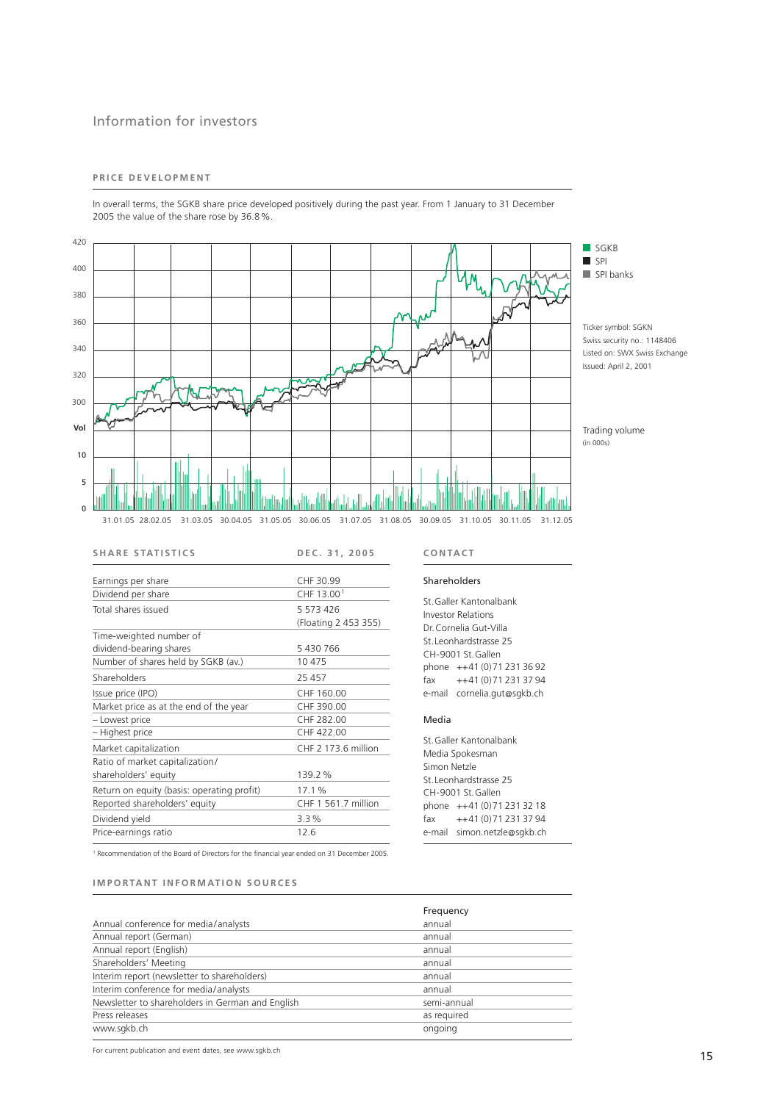## Information for investors

## PRICE DEVELOPMENT

In overall terms, the SGKB share price developed positively during the past year. From 1 January to 31 December 2005 the value of the share rose by 36.8%.



| <b>SHARE STATISTICS</b>                    | DEC. 31, 2005                       |
|--------------------------------------------|-------------------------------------|
| Earnings per share<br>Dividend per share   | CHF 30.99<br>CHF 13.00 <sup>1</sup> |
| Total shares issued                        | 5 573 426<br>(Floating 2 453 355)   |
| Time-weighted number of                    |                                     |
| dividend-bearing shares                    | 5 430 766                           |
| Number of shares held by SGKB (av.)        | 10 475                              |
| Shareholders                               | 25 457                              |
| Issue price (IPO)                          | CHF 160.00                          |
| Market price as at the end of the year     | CHF 390.00                          |
| - Lowest price                             | CHF 282.00                          |
| - Highest price                            | CHF 422.00                          |
| Market capitalization                      | CHF 2 173.6 million                 |
| Ratio of market capitalization/            |                                     |
| shareholders' equity                       | 139.2%                              |
| Return on equity (basis: operating profit) | 17.1%                               |
| Reported shareholders' equity              | CHF 1 561.7 million                 |
| Dividend yield                             | 3.3%                                |
| Price-earnings ratio                       | 12.6                                |

<sup>1</sup> Recommendation of the Board of Directors for the financial year ended on 31 December 2005.

## **IMPORTANT INFORMATION SOURCES**

|                                                  | Frequency   |
|--------------------------------------------------|-------------|
| Annual conference for media/analysts             | annual      |
| Annual report (German)                           | annual      |
| Annual report (English)                          | annual      |
| Shareholders' Meeting                            | annual      |
| Interim report (newsletter to shareholders)      | annual      |
| Interim conference for media/analysts            | annual      |
| Newsletter to shareholders in German and English | semi-annual |
| Press releases                                   | as required |
| www.sqkb.ch                                      | ongoing     |

## **C O N TA C T**

#### Shareholders

St.Galler Kantonalbank Investor Relations Dr.Cornelia Gut-Villa St.Leonhardstrasse 25 CH-9001 St.Gallen phone ++41 (0)71 231 36 92  $\frac{1}{4}$  + +41 (0) 71 231 37 94 e-mail cornelia.gut@sgkb.ch

#### Media

St.Galler Kantonalbank Media Spokesman Simon Netzle St.Leonhardstrasse 25 CH-9001 St.Gallen phone ++41 (0)71 231 32 18 fax ++41 (0)71 231 37 94 e-mail simon.netzle@sgkb.ch

For current publication and event dates, see www.sgkb.ch